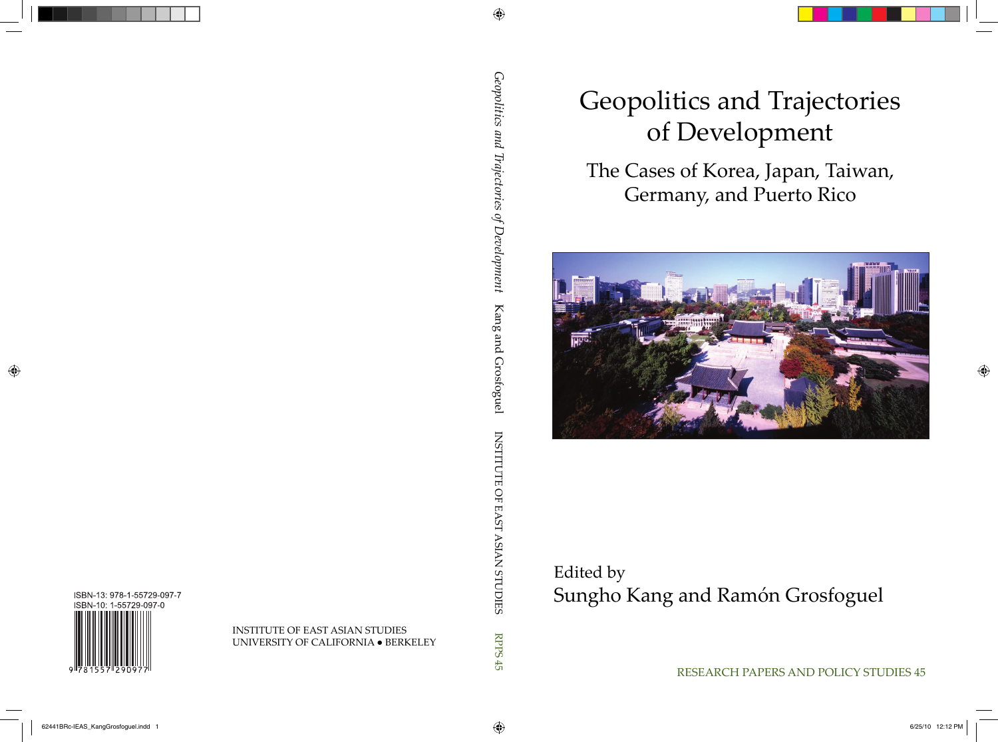# Geopolitics and Trajectories of Development

## The Cases of Korea, Japan, Taiwan, Germany, and Puerto Rico



## Edited by Sungho Kang and Ramón Grosfoguel

RESEARCH PAPERS AND POLICY STUDIES 45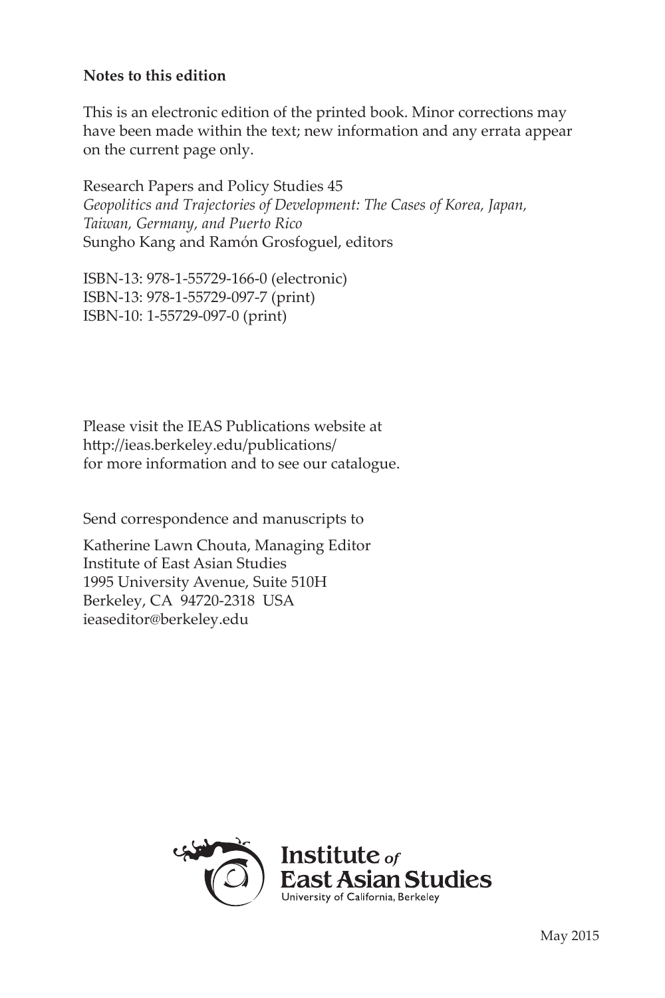#### **Notes to this edition**

This is an electronic edition of the printed book. Minor corrections may have been made within the text; new information and any errata appear on the current page only.

Research Papers and Policy Studies 45 *Geopolitics and Trajectories of Development: The Cases of Korea, Japan, Taiwan, Germany, and Puerto Rico* Sungho Kang and Ramón Grosfoguel, editors

ISBN-13: 978-1-55729-166-0 (electronic) ISBN-13: 978-1-55729-097-7 (print) ISBN-10: 1-55729-097-0 (print)

Please visit the IEAS Publications website at <http://ieas.berkeley.edu/publications/> for more information and to see our catalogue.

Send correspondence and manuscripts to

Katherine Lawn Chouta, Managing Editor Institute of East Asian Studies 1995 University Avenue, Suite 510H Berkeley, CA 94720-2318 USA [ieaseditor@berkeley.edu](mailto:ieaseditor@berkeley.edu)

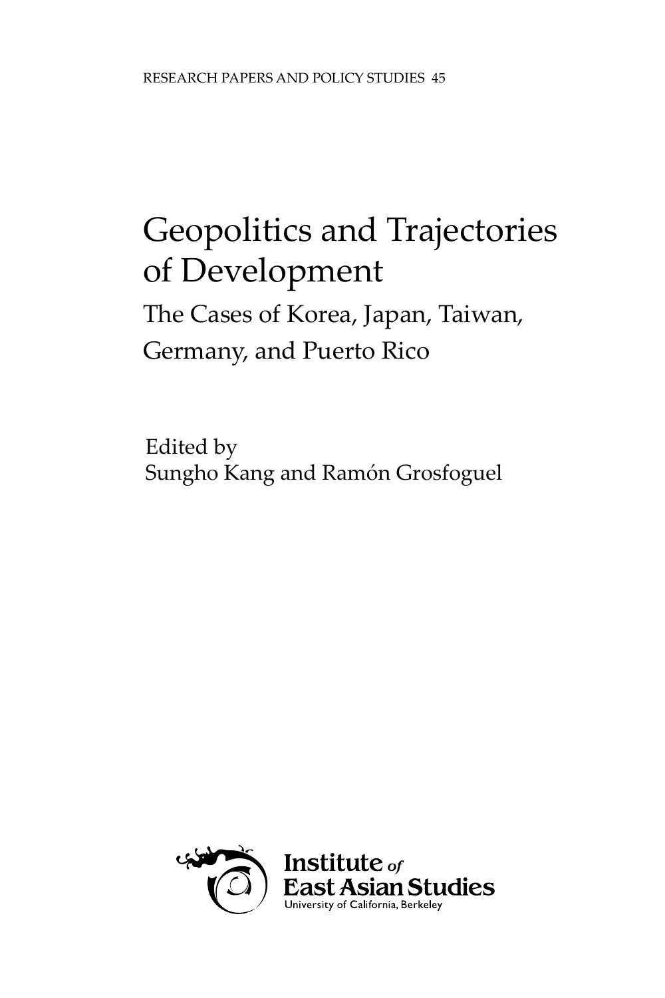# Geopolitics and Trajectories of Development

### The Cases of Korea, Japan, Taiwan, Germany, and Puerto Rico

Edited by Sungho Kang and Ramón Grosfoguel

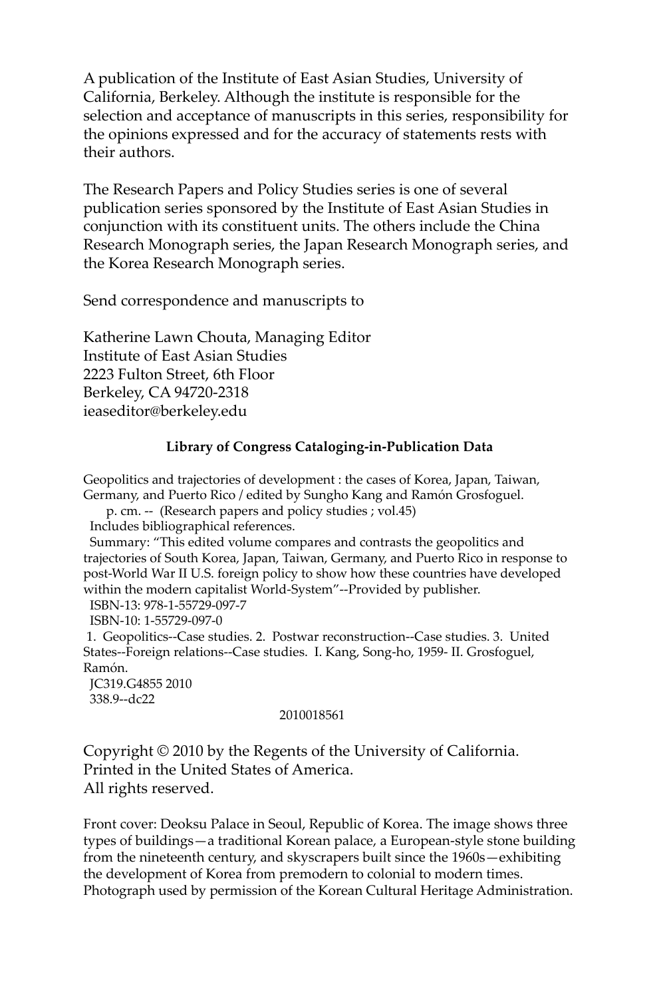A publication of the Institute of East Asian Studies, University of California, Berkeley. Although the institute is responsible for the selection and acceptance of manuscripts in this series, responsibility for the opinions expressed and for the accuracy of statements rests with their authors.

The Research Papers and Policy Studies series is one of several publication series sponsored by the Institute of East Asian Studies in conjunction with its constituent units. The others include the China Research Monograph series, the Japan Research Monograph series, and the Korea Research Monograph series.

Send correspondence and manuscripts to

Katherine Lawn Chouta, Managing Editor Institute of East Asian Studies 2223 Fulton Street, 6th Floor Berkeley, CA 94720-2318 ieaseditor@berkeley.edu

#### **Library of Congress Cataloging-in-Publication Data**

Geopolitics and trajectories of development : the cases of Korea, Japan, Taiwan, Germany, and Puerto Rico / edited by Sungho Kang and Ramón Grosfoguel.

p. cm. -- (Research papers and policy studies ; vol.45)

Includes bibliographical references.

 Summary: "This edited volume compares and contrasts the geopolitics and trajectories of South Korea, Japan, Taiwan, Germany, and Puerto Rico in response to post-World War II U.S. foreign policy to show how these countries have developed within the modern capitalist World-System"--Provided by publisher.

ISBN-13: 978-1-55729-097-7

ISBN-10: 1-55729-097-0

 1. Geopolitics--Case studies. 2. Postwar reconstruction--Case studies. 3. United States--Foreign relations--Case studies. I. Kang, Song-ho, 1959- II. Grosfoguel, Ramón.

 JC319.G4855 2010 338.9--dc22

#### 2010018561

Copyright © 2010 by the Regents of the University of California. Printed in the United States of America. All rights reserved.

Front cover: Deoksu Palace in Seoul, Republic of Korea. The image shows three types of buildings—a traditional Korean palace, a European-style stone building from the nineteenth century, and skyscrapers built since the 1960s—exhibiting the development of Korea from premodern to colonial to modern times. Photograph used by permission of the Korean Cultural Heritage Administration.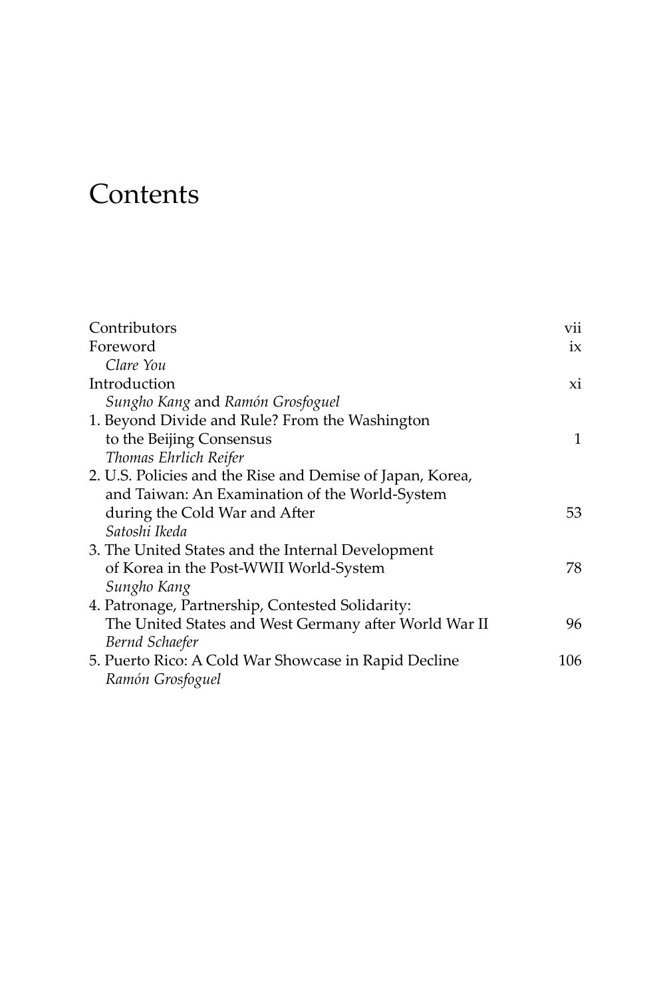### **Contents**

| Contributors                                              | vii |
|-----------------------------------------------------------|-----|
| Foreword                                                  | ix  |
| Clare You                                                 |     |
| Introduction                                              | xi  |
| Sungho Kang and Ramón Grosfoguel                          |     |
| 1. Beyond Divide and Rule? From the Washington            |     |
| to the Beijing Consensus                                  | 1   |
| Thomas Ehrlich Reifer                                     |     |
| 2. U.S. Policies and the Rise and Demise of Japan, Korea, |     |
| and Taiwan: An Examination of the World-System            |     |
| during the Cold War and After                             | 53  |
| Satoshi Ikeda                                             |     |
| 3. The United States and the Internal Development         |     |
| of Korea in the Post-WWII World-System                    | 78  |
| Sungho Kang                                               |     |
| 4. Patronage, Partnership, Contested Solidarity:          |     |
| The United States and West Germany after World War II     | 96  |
| Bernd Schaefer                                            |     |
| 5. Puerto Rico: A Cold War Showcase in Rapid Decline      | 106 |
| Ramón Grosfoguel                                          |     |
|                                                           |     |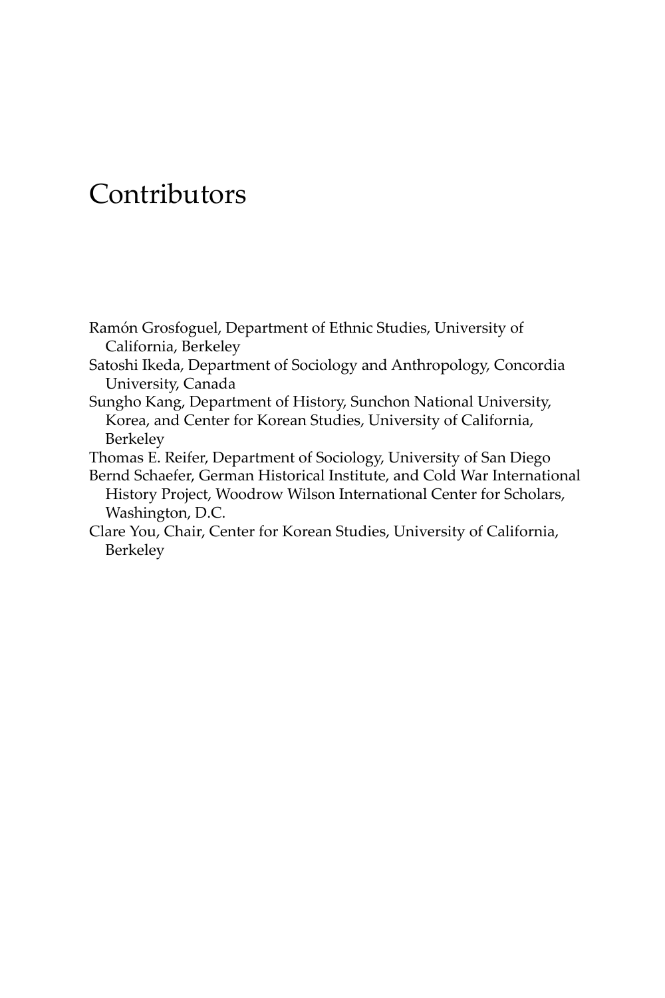### Contributors

| Ramón Grosfoguel, Department of Ethnic Studies, University of           |
|-------------------------------------------------------------------------|
| California, Berkeley                                                    |
| Satoshi Ikeda, Department of Sociology and Anthropology, Concordia      |
| University, Canada                                                      |
| Sungho Kang, Department of History, Sunchon National University,        |
| Korea, and Center for Korean Studies, University of California,         |
| Berkeley                                                                |
| Thomas E. Reifer, Department of Sociology, University of San Diego      |
| Bernd Schaefer, German Historical Institute, and Cold War International |
| History Project, Woodrow Wilson International Center for Scholars,      |
| Washington, D.C.                                                        |
| Clare You, Chair, Center for Korean Studies, University of California,  |
| Berkeley                                                                |
|                                                                         |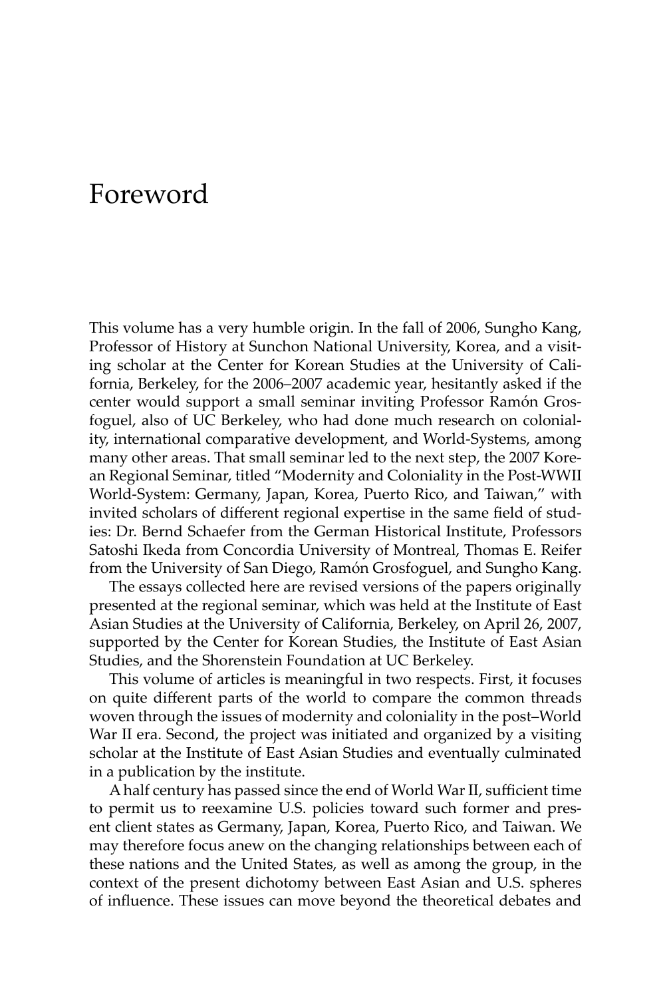### Foreword

This volume has a very humble origin. In the fall of 2006, Sungho Kang, Professor of History at Sunchon National University, Korea, and a visiting scholar at the Center for Korean Studies at the University of California, Berkeley, for the 2006–2007 academic year, hesitantly asked if the center would support a small seminar inviting Professor Ramón Grosfoguel, also of UC Berkeley, who had done much research on coloniality, international comparative development, and World-Systems, among many other areas. That small seminar led to the next step, the 2007 Korean Regional Seminar, titled "Modernity and Coloniality in the Post-WWII World-System: Germany, Japan, Korea, Puerto Rico, and Taiwan," with invited scholars of different regional expertise in the same field of studies: Dr. Bernd Schaefer from the German Historical Institute, Professors Satoshi Ikeda from Concordia University of Montreal, Thomas E. Reifer from the University of San Diego, Ramón Grosfoguel, and Sungho Kang.

The essays collected here are revised versions of the papers originally presented at the regional seminar, which was held at the Institute of East Asian Studies at the University of California, Berkeley, on April 26, 2007, supported by the Center for Korean Studies, the Institute of East Asian Studies, and the Shorenstein Foundation at UC Berkeley.

This volume of articles is meaningful in two respects. First, it focuses on quite different parts of the world to compare the common threads woven through the issues of modernity and coloniality in the post–World War II era. Second, the project was initiated and organized by a visiting scholar at the Institute of East Asian Studies and eventually culminated in a publication by the institute.

A half century has passed since the end of World War II, sufficient time to permit us to reexamine U.S. policies toward such former and present client states as Germany, Japan, Korea, Puerto Rico, and Taiwan. We may therefore focus anew on the changing relationships between each of these nations and the United States, as well as among the group, in the context of the present dichotomy between East Asian and U.S. spheres of influence. These issues can move beyond the theoretical debates and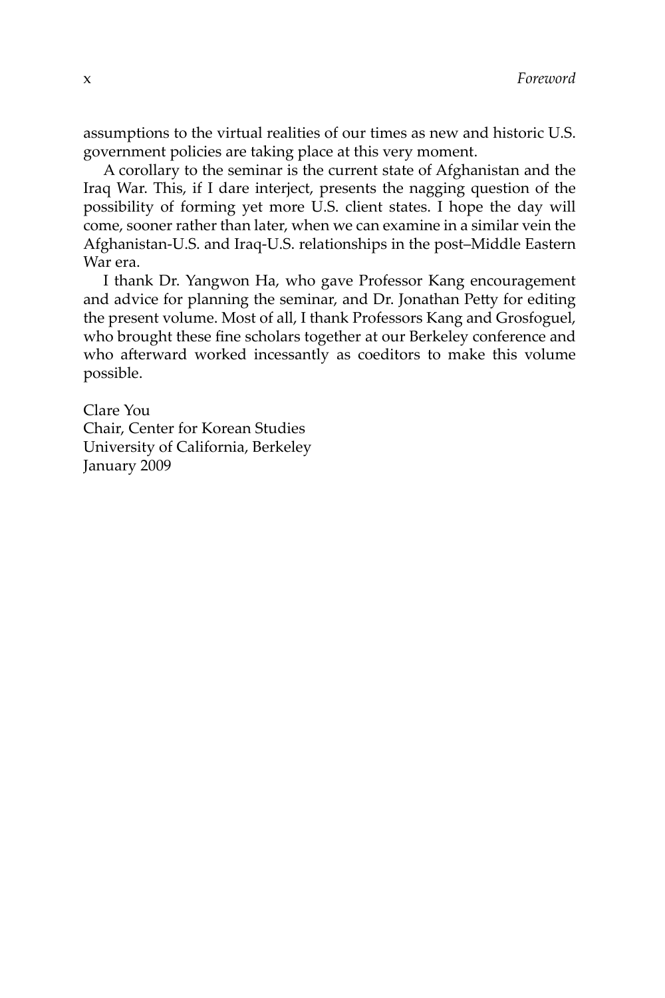assumptions to the virtual realities of our times as new and historic U.S. government policies are taking place at this very moment.

A corollary to the seminar is the current state of Afghanistan and the Iraq War. This, if I dare interject, presents the nagging question of the possibility of forming yet more U.S. client states. I hope the day will come, sooner rather than later, when we can examine in a similar vein the Afghanistan-U.S. and Iraq-U.S. relationships in the post–Middle Eastern War era.

I thank Dr. Yangwon Ha, who gave Professor Kang encouragement and advice for planning the seminar, and Dr. Jonathan Petty for editing the present volume. Most of all, I thank Professors Kang and Grosfoguel, who brought these fine scholars together at our Berkeley conference and who afterward worked incessantly as coeditors to make this volume possible.

Clare You Chair, Center for Korean Studies University of California, Berkeley January 2009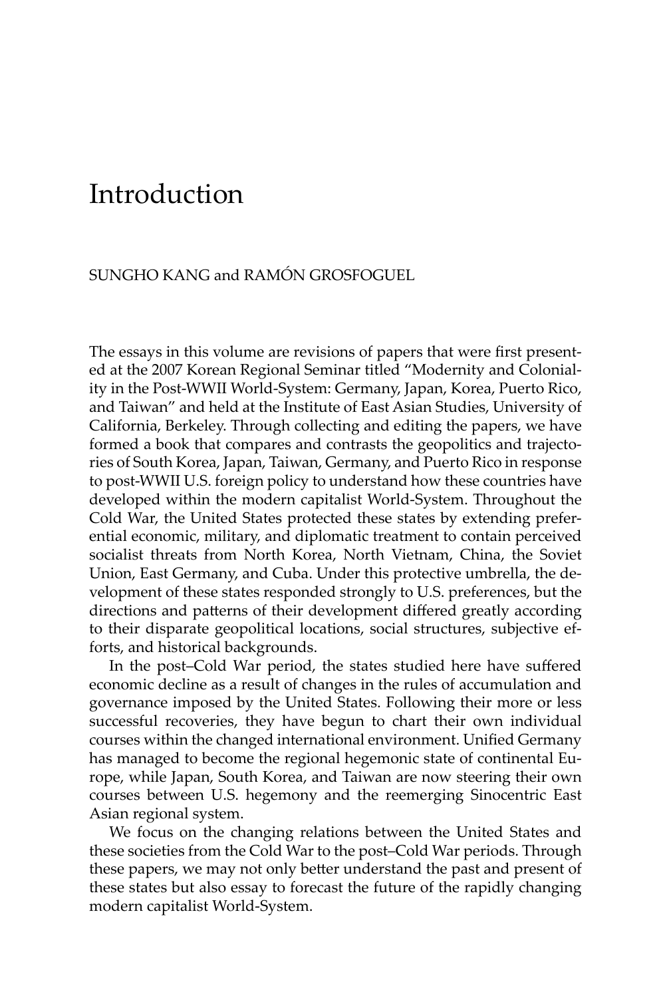### Introduction

SUNGHO KANG and RAMÓN GROSFOGUEL

The essays in this volume are revisions of papers that were first presented at the 2007 Korean Regional Seminar titled "Modernity and Coloniality in the Post-WWII World-System: Germany, Japan, Korea, Puerto Rico, and Taiwan" and held at the Institute of East Asian Studies, University of California, Berkeley. Through collecting and editing the papers, we have formed a book that compares and contrasts the geopolitics and trajectories of South Korea, Japan, Taiwan, Germany, and Puerto Rico in response to post-WWII U.S. foreign policy to understand how these countries have developed within the modern capitalist World-System. Throughout the Cold War, the United States protected these states by extending preferential economic, military, and diplomatic treatment to contain perceived socialist threats from North Korea, North Vietnam, China, the Soviet Union, East Germany, and Cuba. Under this protective umbrella, the development of these states responded strongly to U.S. preferences, but the directions and patterns of their development differed greatly according to their disparate geopolitical locations, social structures, subjective efforts, and historical backgrounds.

In the post–Cold War period, the states studied here have suffered economic decline as a result of changes in the rules of accumulation and governance imposed by the United States. Following their more or less successful recoveries, they have begun to chart their own individual courses within the changed international environment. Unified Germany has managed to become the regional hegemonic state of continental Europe, while Japan, South Korea, and Taiwan are now steering their own courses between U.S. hegemony and the reemerging Sinocentric East Asian regional system.

We focus on the changing relations between the United States and these societies from the Cold War to the post–Cold War periods. Through these papers, we may not only better understand the past and present of these states but also essay to forecast the future of the rapidly changing modern capitalist World-System.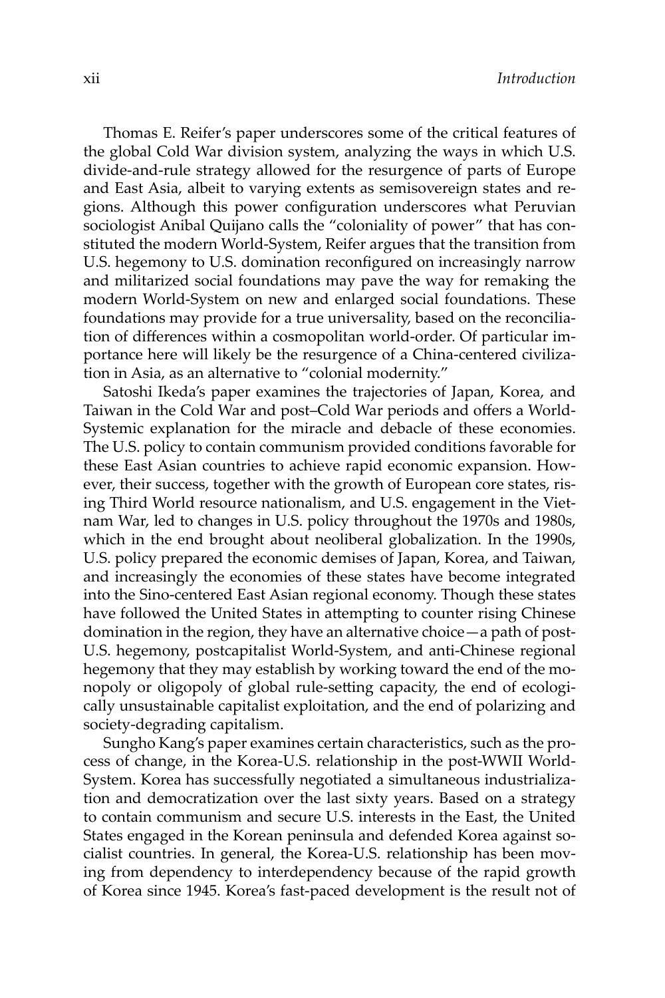Thomas E. Reifer's paper underscores some of the critical features of the global Cold War division system, analyzing the ways in which U.S. divide-and-rule strategy allowed for the resurgence of parts of Europe and East Asia, albeit to varying extents as semisovereign states and regions. Although this power configuration underscores what Peruvian sociologist Anibal Quijano calls the "coloniality of power" that has constituted the modern World-System, Reifer argues that the transition from U.S. hegemony to U.S. domination reconfigured on increasingly narrow and militarized social foundations may pave the way for remaking the modern World-System on new and enlarged social foundations. These foundations may provide for a true universality, based on the reconciliation of differences within a cosmopolitan world-order. Of particular importance here will likely be the resurgence of a China-centered civilization in Asia, as an alternative to "colonial modernity."

Satoshi Ikeda's paper examines the trajectories of Japan, Korea, and Taiwan in the Cold War and post–Cold War periods and offers a World-Systemic explanation for the miracle and debacle of these economies. The U.S. policy to contain communism provided conditions favorable for these East Asian countries to achieve rapid economic expansion. However, their success, together with the growth of European core states, rising Third World resource nationalism, and U.S. engagement in the Vietnam War, led to changes in U.S. policy throughout the 1970s and 1980s, which in the end brought about neoliberal globalization. In the 1990s, U.S. policy prepared the economic demises of Japan, Korea, and Taiwan, and increasingly the economies of these states have become integrated into the Sino-centered East Asian regional economy. Though these states have followed the United States in attempting to counter rising Chinese domination in the region, they have an alternative choice—a path of post-U.S. hegemony, postcapitalist World-System, and anti-Chinese regional hegemony that they may establish by working toward the end of the monopoly or oligopoly of global rule-setting capacity, the end of ecologically unsustainable capitalist exploitation, and the end of polarizing and society-degrading capitalism.

Sungho Kang's paper examines certain characteristics, such as the process of change, in the Korea-U.S. relationship in the post-WWII World-System. Korea has successfully negotiated a simultaneous industrialization and democratization over the last sixty years. Based on a strategy to contain communism and secure U.S. interests in the East, the United States engaged in the Korean peninsula and defended Korea against socialist countries. In general, the Korea-U.S. relationship has been moving from dependency to interdependency because of the rapid growth of Korea since 1945. Korea's fast-paced development is the result not of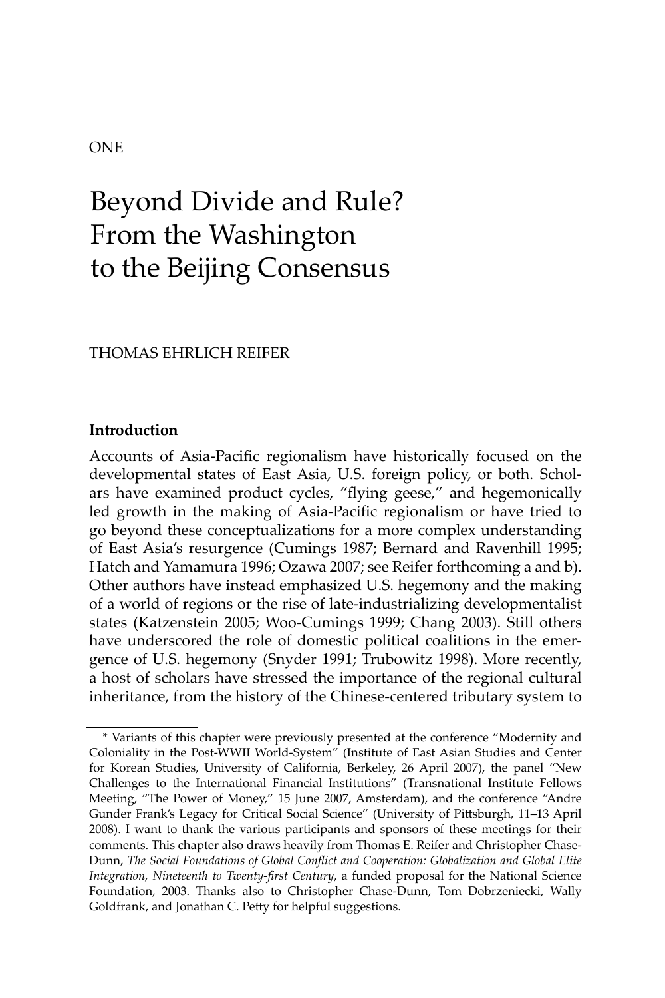#### **ONE**

### Beyond Divide and Rule? From the Washington to the Beijing Consensus

#### THOMAS EHRLICH REIFER

#### **Introduction**

Accounts of Asia-Pacific regionalism have historically focused on the developmental states of East Asia, U.S. foreign policy, or both. Scholars have examined product cycles, "flying geese," and hegemonically led growth in the making of Asia-Pacific regionalism or have tried to go beyond these conceptualizations for a more complex understanding of East Asia's resurgence (Cumings 1987; Bernard and Ravenhill 1995; Hatch and Yamamura 1996; Ozawa 2007; see Reifer forthcoming a and b). Other authors have instead emphasized U.S. hegemony and the making of a world of regions or the rise of late-industrializing developmentalist states (Katzenstein 2005; Woo-Cumings 1999; Chang 2003). Still others have underscored the role of domestic political coalitions in the emergence of U.S. hegemony (Snyder 1991; Trubowitz 1998). More recently, a host of scholars have stressed the importance of the regional cultural inheritance, from the history of the Chinese-centered tributary system to

<sup>\*</sup> Variants of this chapter were previously presented at the conference "Modernity and Coloniality in the Post-WWII World-System" (Institute of East Asian Studies and Center for Korean Studies, University of California, Berkeley, 26 April 2007), the panel "New Challenges to the International Financial Institutions" (Transnational Institute Fellows Meeting, "The Power of Money," 15 June 2007, Amsterdam), and the conference "Andre Gunder Frank's Legacy for Critical Social Science" (University of Pittsburgh, 11–13 April 2008). I want to thank the various participants and sponsors of these meetings for their comments. This chapter also draws heavily from Thomas E. Reifer and Christopher Chase-Dunn, *The Social Foundations of Global Conflict and Cooperation: Globalization and Global Elite Integration, Nineteenth to Twenty-first Century*, a funded proposal for the National Science Foundation, 2003. Thanks also to Christopher Chase-Dunn, Tom Dobrzeniecki, Wally Goldfrank, and Jonathan C. Petty for helpful suggestions.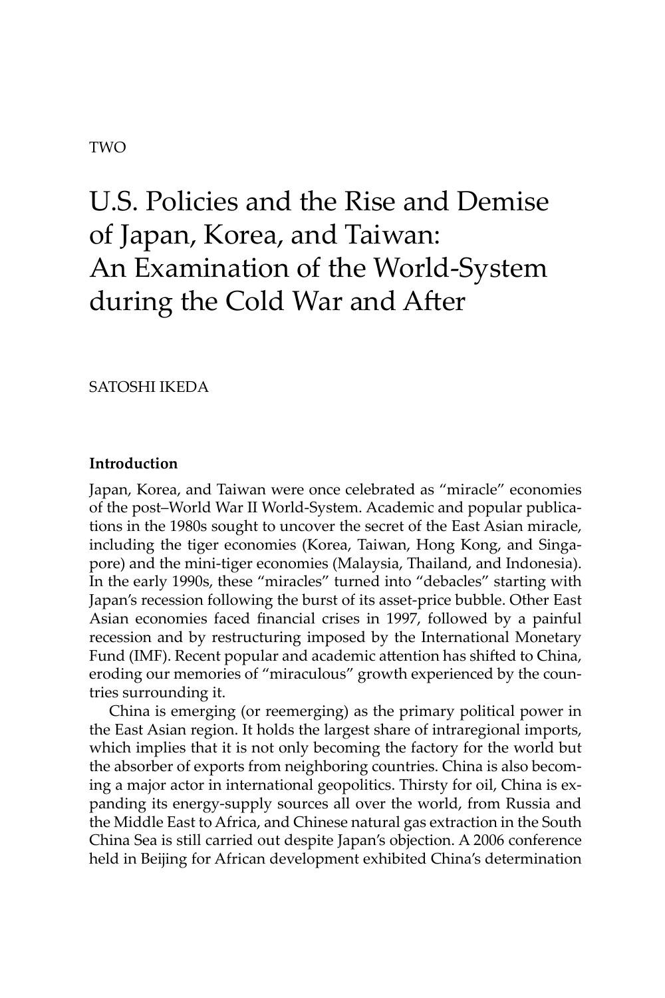#### TWO

### U.S. Policies and the Rise and Demise of Japan, Korea, and Taiwan: An Examination of the World-System during the Cold War and After

SATOSHI IKEDA

#### **Introduction**

Japan, Korea, and Taiwan were once celebrated as "miracle" economies of the post–World War II World-System. Academic and popular publications in the 1980s sought to uncover the secret of the East Asian miracle, including the tiger economies (Korea, Taiwan, Hong Kong, and Singapore) and the mini-tiger economies (Malaysia, Thailand, and Indonesia). In the early 1990s, these "miracles" turned into "debacles" starting with Japan's recession following the burst of its asset-price bubble. Other East Asian economies faced financial crises in 1997, followed by a painful recession and by restructuring imposed by the International Monetary Fund (IMF). Recent popular and academic attention has shifted to China, eroding our memories of "miraculous" growth experienced by the countries surrounding it.

China is emerging (or reemerging) as the primary political power in the East Asian region. It holds the largest share of intraregional imports, which implies that it is not only becoming the factory for the world but the absorber of exports from neighboring countries. China is also becoming a major actor in international geopolitics. Thirsty for oil, China is expanding its energy-supply sources all over the world, from Russia and the Middle East to Africa, and Chinese natural gas extraction in the South China Sea is still carried out despite Japan's objection. A 2006 conference held in Beijing for African development exhibited China's determination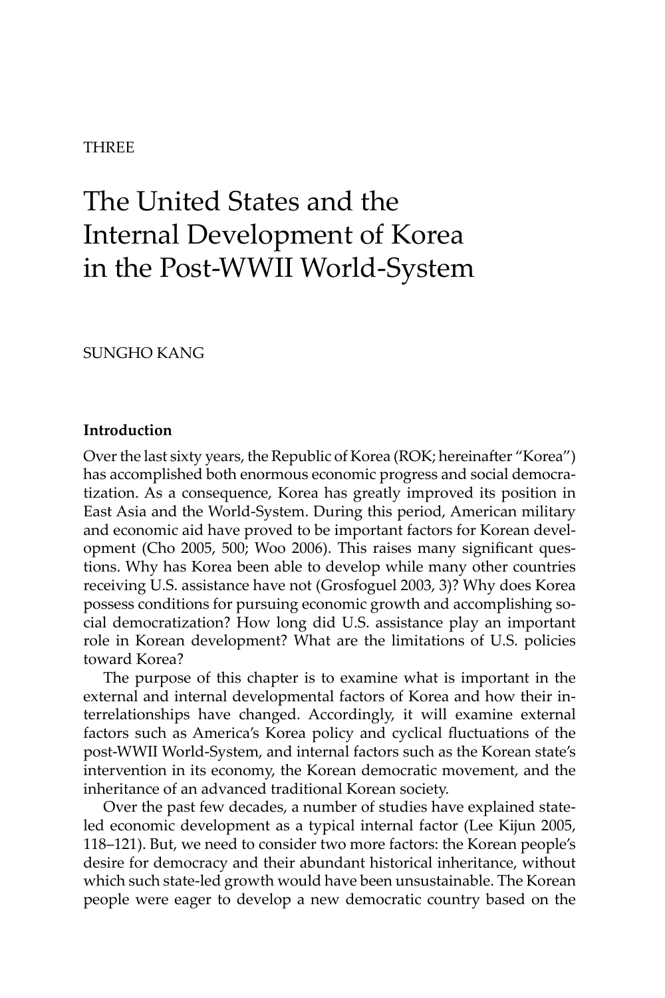#### **THREE**

### The United States and the Internal Development of Korea in the Post-WWII World-System

SUNGHO KANG

#### **Introduction**

Over the last sixty years, the Republic of Korea (ROK; hereinafter "Korea") has accomplished both enormous economic progress and social democratization. As a consequence, Korea has greatly improved its position in East Asia and the World-System. During this period, American military and economic aid have proved to be important factors for Korean development (Cho 2005, 500; Woo 2006). This raises many significant questions. Why has Korea been able to develop while many other countries receiving U.S. assistance have not (Grosfoguel 2003, 3)? Why does Korea possess conditions for pursuing economic growth and accomplishing social democratization? How long did U.S. assistance play an important role in Korean development? What are the limitations of U.S. policies toward Korea?

The purpose of this chapter is to examine what is important in the external and internal developmental factors of Korea and how their interrelationships have changed. Accordingly, it will examine external factors such as America's Korea policy and cyclical fluctuations of the post-WWII World-System, and internal factors such as the Korean state's intervention in its economy, the Korean democratic movement, and the inheritance of an advanced traditional Korean society.

Over the past few decades, a number of studies have explained stateled economic development as a typical internal factor (Lee Kijun 2005, 118–121). But, we need to consider two more factors: the Korean people's desire for democracy and their abundant historical inheritance, without which such state-led growth would have been unsustainable. The Korean people were eager to develop a new democratic country based on the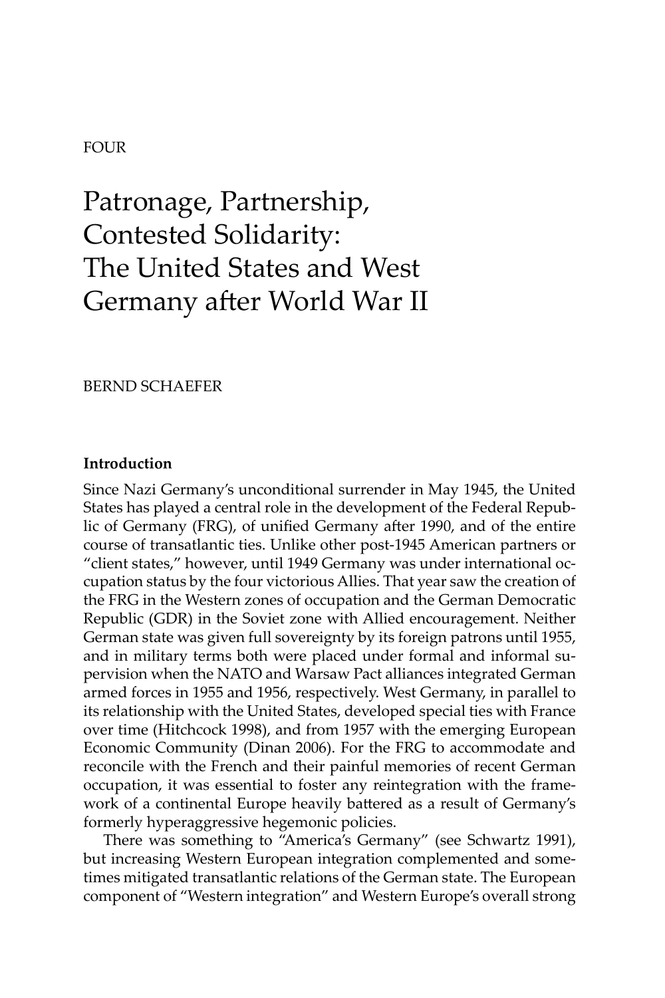#### FOUR

### Patronage, Partnership, Contested Solidarity: The United States and West Germany after World War II

BERND SCHAEFER

#### **Introduction**

Since Nazi Germany's unconditional surrender in May 1945, the United States has played a central role in the development of the Federal Republic of Germany (FRG), of unified Germany after 1990, and of the entire course of transatlantic ties. Unlike other post-1945 American partners or "client states," however, until 1949 Germany was under international occupation status by the four victorious Allies. That year saw the creation of the FRG in the Western zones of occupation and the German Democratic Republic (GDR) in the Soviet zone with Allied encouragement. Neither German state was given full sovereignty by its foreign patrons until 1955, and in military terms both were placed under formal and informal supervision when the NATO and Warsaw Pact alliances integrated German armed forces in 1955 and 1956, respectively. West Germany, in parallel to its relationship with the United States, developed special ties with France over time (Hitchcock 1998), and from 1957 with the emerging European Economic Community (Dinan 2006). For the FRG to accommodate and reconcile with the French and their painful memories of recent German occupation, it was essential to foster any reintegration with the framework of a continental Europe heavily battered as a result of Germany's formerly hyperaggressive hegemonic policies.

There was something to "America's Germany" (see Schwartz 1991), but increasing Western European integration complemented and sometimes mitigated transatlantic relations of the German state. The European component of "Western integration" and Western Europe's overall strong